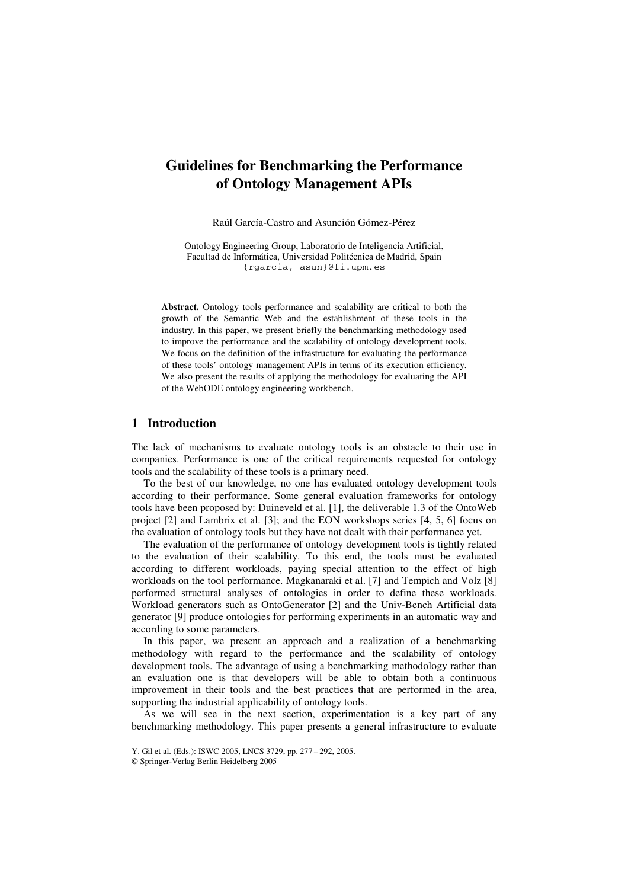# **Guidelines for Benchmarking the Performance of Ontology Management APIs**

Raúl García-Castro and Asunción Gómez-Pérez

Ontology Engineering Group, Laboratorio de Inteligencia Artificial, Facultad de Informática, Universidad Politécnica de Madrid, Spain {rgarcia, asun}@fi.upm.es

**Abstract.** Ontology tools performance and scalability are critical to both the growth of the Semantic Web and the establishment of these tools in the industry. In this paper, we present briefly the benchmarking methodology used to improve the performance and the scalability of ontology development tools. We focus on the definition of the infrastructure for evaluating the performance of these tools' ontology management APIs in terms of its execution efficiency. We also present the results of applying the methodology for evaluating the API of the WebODE ontology engineering workbench.

# **1 Introduction**

The lack of mechanisms to evaluate ontology tools is an obstacle to their use in companies. Performance is one of the critical requirements requested for ontology tools and the scalability of these tools is a primary need.

To the best of our knowledge, no one has evaluated ontology development tools according to their performance. Some general evaluation frameworks for ontology tools have been proposed by: Duineveld et al. [1], the deliverable 1.3 of the OntoWeb project [2] and Lambrix et al. [3]; and the EON workshops series [4, 5, 6] focus on the evaluation of ontology tools but they have not dealt with their performance yet.

The evaluation of the performance of ontology development tools is tightly related to the evaluation of their scalability. To this end, the tools must be evaluated according to different workloads, paying special attention to the effect of high workloads on the tool performance. Magkanaraki et al. [7] and Tempich and Volz [8] performed structural analyses of ontologies in order to define these workloads. Workload generators such as OntoGenerator [2] and the Univ-Bench Artificial data generator [9] produce ontologies for performing experiments in an automatic way and according to some parameters.

In this paper, we present an approach and a realization of a benchmarking methodology with regard to the performance and the scalability of ontology development tools. The advantage of using a benchmarking methodology rather than an evaluation one is that developers will be able to obtain both a continuous improvement in their tools and the best practices that are performed in the area, supporting the industrial applicability of ontology tools.

As we will see in the next section, experimentation is a key part of any benchmarking methodology. This paper presents a general infrastructure to evaluate

Y. Gil et al. (Eds.): ISWC 2005, LNCS 3729, pp. 277 – 292, 2005.

<sup>©</sup> Springer-Verlag Berlin Heidelberg 2005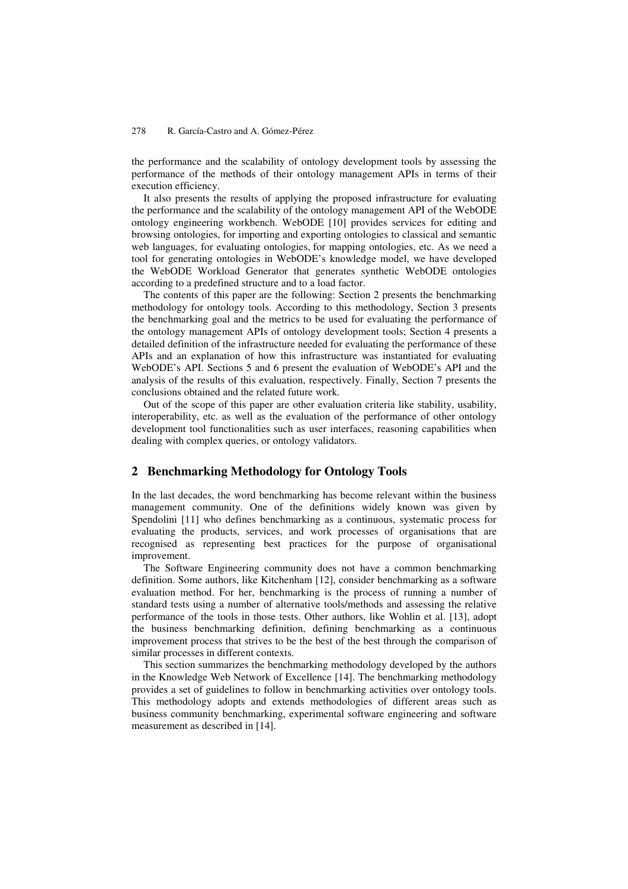the performance and the scalability of ontology development tools by assessing the performance of the methods of their ontology management APIs in terms of their execution efficiency.

It also presents the results of applying the proposed infrastructure for evaluating the performance and the scalability of the ontology management API of the WebODE ontology engineering workbench. WebODE [10] provides services for editing and browsing ontologies, for importing and exporting ontologies to classical and semantic web languages, for evaluating ontologies, for mapping ontologies, etc. As we need a tool for generating ontologies in WebODE's knowledge model, we have developed the WebODE Workload Generator that generates synthetic WebODE ontologies according to a predefined structure and to a load factor.

The contents of this paper are the following: Section 2 presents the benchmarking methodology for ontology tools. According to this methodology, Section 3 presents the benchmarking goal and the metrics to be used for evaluating the performance of the ontology management APIs of ontology development tools; Section 4 presents a detailed definition of the infrastructure needed for evaluating the performance of these APIs and an explanation of how this infrastructure was instantiated for evaluating WebODE's API. Sections 5 and 6 present the evaluation of WebODE's API and the analysis of the results of this evaluation, respectively. Finally, Section 7 presents the conclusions obtained and the related future work.

Out of the scope of this paper are other evaluation criteria like stability, usability, interoperability, etc. as well as the evaluation of the performance of other ontology development tool functionalities such as user interfaces, reasoning capabilities when dealing with complex queries, or ontology validators.

# **2 Benchmarking Methodology for Ontology Tools**

In the last decades, the word benchmarking has become relevant within the business management community. One of the definitions widely known was given by Spendolini [11] who defines benchmarking as a continuous, systematic process for evaluating the products, services, and work processes of organisations that are recognised as representing best practices for the purpose of organisational improvement.

The Software Engineering community does not have a common benchmarking definition. Some authors, like Kitchenham [12], consider benchmarking as a software evaluation method. For her, benchmarking is the process of running a number of standard tests using a number of alternative tools/methods and assessing the relative performance of the tools in those tests. Other authors, like Wohlin et al. [13], adopt the business benchmarking definition, defining benchmarking as a continuous improvement process that strives to be the best of the best through the comparison of similar processes in different contexts.

This section summarizes the benchmarking methodology developed by the authors in the Knowledge Web Network of Excellence [14]. The benchmarking methodology provides a set of guidelines to follow in benchmarking activities over ontology tools. This methodology adopts and extends methodologies of different areas such as business community benchmarking, experimental software engineering and software measurement as described in [14].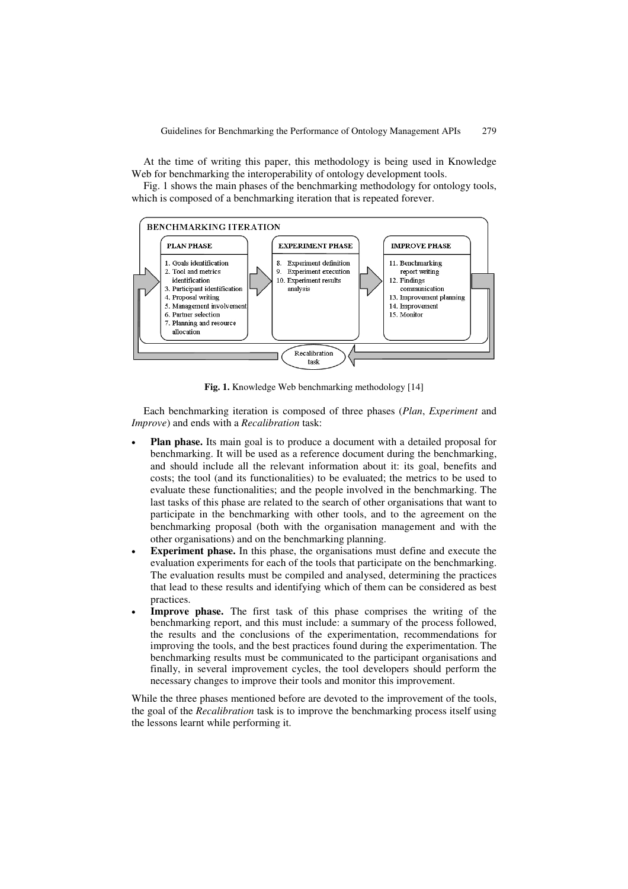At the time of writing this paper, this methodology is being used in Knowledge Web for benchmarking the interoperability of ontology development tools.

Fig. 1 shows the main phases of the benchmarking methodology for ontology tools, which is composed of a benchmarking iteration that is repeated forever.



**Fig. 1.** Knowledge Web benchmarking methodology [14]

Each benchmarking iteration is composed of three phases (*Plan*, *Experiment* and *Improve*) and ends with a *Recalibration* task:

- **Plan phase.** Its main goal is to produce a document with a detailed proposal for benchmarking. It will be used as a reference document during the benchmarking, and should include all the relevant information about it: its goal, benefits and costs; the tool (and its functionalities) to be evaluated; the metrics to be used to evaluate these functionalities; and the people involved in the benchmarking. The last tasks of this phase are related to the search of other organisations that want to participate in the benchmarking with other tools, and to the agreement on the benchmarking proposal (both with the organisation management and with the other organisations) and on the benchmarking planning.
- **Experiment phase.** In this phase, the organisations must define and execute the evaluation experiments for each of the tools that participate on the benchmarking. The evaluation results must be compiled and analysed, determining the practices that lead to these results and identifying which of them can be considered as best practices.
- Improve phase. The first task of this phase comprises the writing of the benchmarking report, and this must include: a summary of the process followed, the results and the conclusions of the experimentation, recommendations for improving the tools, and the best practices found during the experimentation. The benchmarking results must be communicated to the participant organisations and finally, in several improvement cycles, the tool developers should perform the necessary changes to improve their tools and monitor this improvement.

While the three phases mentioned before are devoted to the improvement of the tools, the goal of the *Recalibration* task is to improve the benchmarking process itself using the lessons learnt while performing it.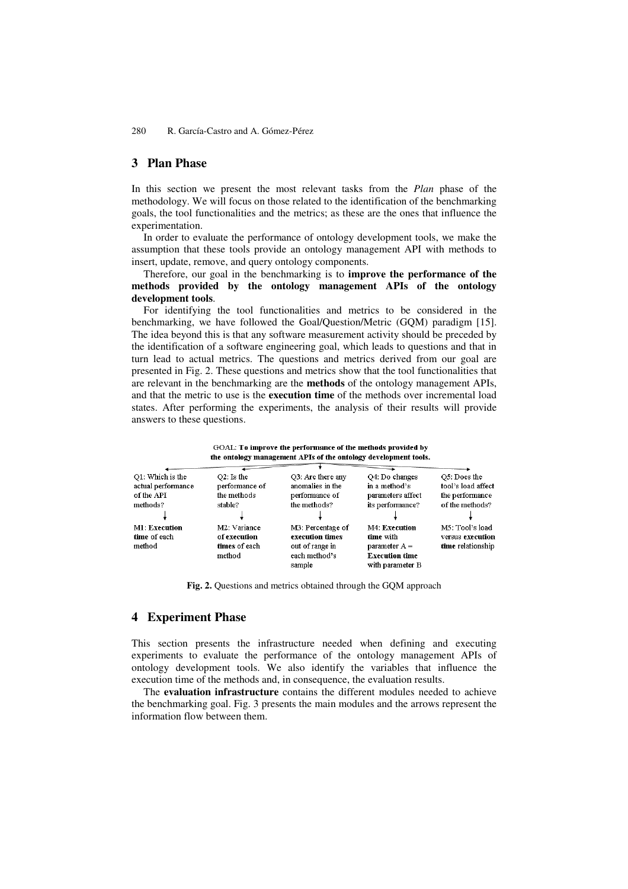# **3 Plan Phase**

In this section we present the most relevant tasks from the *Plan* phase of the methodology. We will focus on those related to the identification of the benchmarking goals, the tool functionalities and the metrics; as these are the ones that influence the experimentation.

In order to evaluate the performance of ontology development tools, we make the assumption that these tools provide an ontology management API with methods to insert, update, remove, and query ontology components.

Therefore, our goal in the benchmarking is to **improve the performance of the methods provided by the ontology management APIs of the ontology development tools**.

For identifying the tool functionalities and metrics to be considered in the benchmarking, we have followed the Goal/Question/Metric (GQM) paradigm [15]. The idea beyond this is that any software measurement activity should be preceded by the identification of a software engineering goal, which leads to questions and that in turn lead to actual metrics. The questions and metrics derived from our goal are presented in Fig. 2. These questions and metrics show that the tool functionalities that are relevant in the benchmarking are the **methods** of the ontology management APIs, and that the metric to use is the **execution time** of the methods over incremental load states. After performing the experiments, the analysis of their results will provide answers to these questions.

GOAL: To improve the performance of the methods provided by the ontology management APIs of the ontology development tools.

| O1: Which is the   | $O2$ : Is the  | O3: Are there any | O4: Do changes        | O5: Does the       |
|--------------------|----------------|-------------------|-----------------------|--------------------|
| actual performance | performance of | anomalies in the  | in a method's         | tool's load affect |
| of the API         | the methods    | performance of    | parameters affect     | the performance    |
| methods?           | stable?        | the methods?      | its performance?      | of the methods?    |
|                    |                |                   |                       |                    |
| M1: Execution      | M2: Variance   | M3: Percentage of | M4: Execution         | M5: Tool's load    |
| time of each       | of execution   | execution times   | time with             | versus execution   |
| method             | times of each  | out of range in   | parameter $A =$       | time relationship  |
|                    | method         | each method's     | <b>Execution time</b> |                    |
|                    |                | sample            | with parameter B      |                    |

**Fig. 2.** Questions and metrics obtained through the GQM approach

# **4 Experiment Phase**

This section presents the infrastructure needed when defining and executing experiments to evaluate the performance of the ontology management APIs of ontology development tools. We also identify the variables that influence the execution time of the methods and, in consequence, the evaluation results.

The **evaluation infrastructure** contains the different modules needed to achieve the benchmarking goal. Fig. 3 presents the main modules and the arrows represent the information flow between them.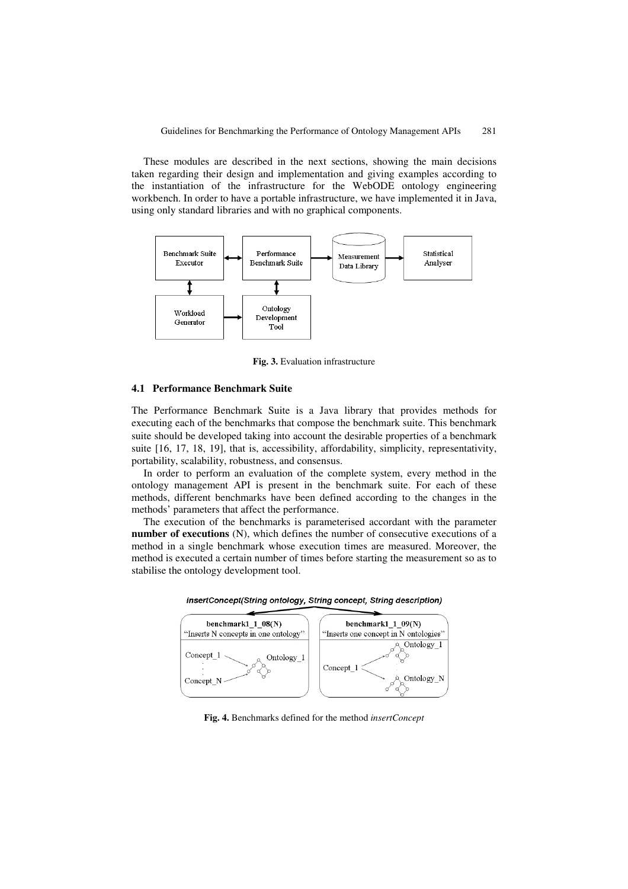These modules are described in the next sections, showing the main decisions taken regarding their design and implementation and giving examples according to the instantiation of the infrastructure for the WebODE ontology engineering workbench. In order to have a portable infrastructure, we have implemented it in Java, using only standard libraries and with no graphical components.



**Fig. 3.** Evaluation infrastructure

### **4.1 Performance Benchmark Suite**

The Performance Benchmark Suite is a Java library that provides methods for executing each of the benchmarks that compose the benchmark suite. This benchmark suite should be developed taking into account the desirable properties of a benchmark suite [16, 17, 18, 19], that is, accessibility, affordability, simplicity, representativity, portability, scalability, robustness, and consensus.

In order to perform an evaluation of the complete system, every method in the ontology management API is present in the benchmark suite. For each of these methods, different benchmarks have been defined according to the changes in the methods' parameters that affect the performance.

The execution of the benchmarks is parameterised accordant with the parameter **number of executions** (N), which defines the number of consecutive executions of a method in a single benchmark whose execution times are measured. Moreover, the method is executed a certain number of times before starting the measurement so as to stabilise the ontology development tool.





**Fig. 4.** Benchmarks defined for the method *insertConcept*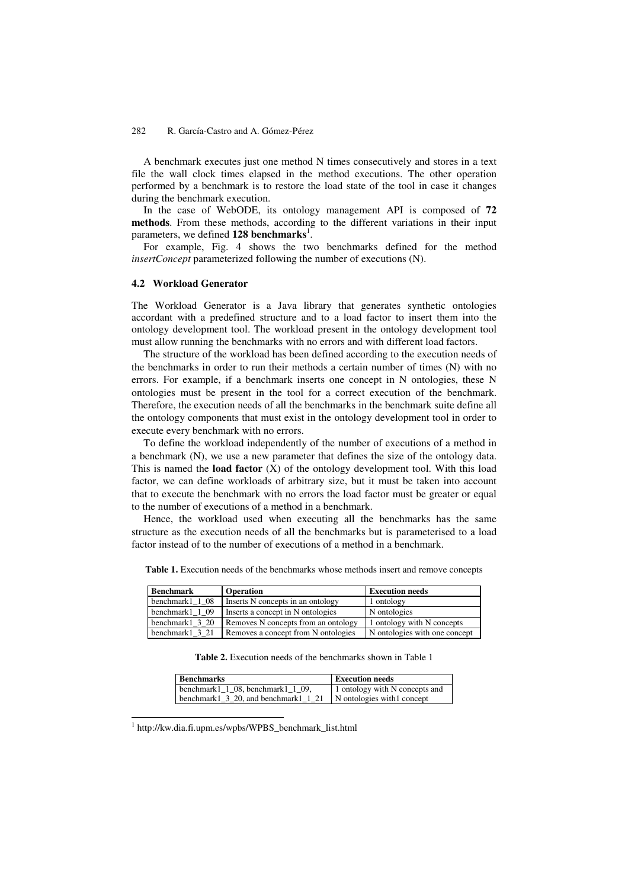A benchmark executes just one method N times consecutively and stores in a text file the wall clock times elapsed in the method executions. The other operation performed by a benchmark is to restore the load state of the tool in case it changes during the benchmark execution.

In the case of WebODE, its ontology management API is composed of **72 methods**. From these methods, according to the different variations in their input parameters, we defined **128 benchmarks**<sup>1</sup> .

For example, Fig. 4 shows the two benchmarks defined for the method *insertConcept* parameterized following the number of executions (N).

#### **4.2 Workload Generator**

The Workload Generator is a Java library that generates synthetic ontologies accordant with a predefined structure and to a load factor to insert them into the ontology development tool. The workload present in the ontology development tool must allow running the benchmarks with no errors and with different load factors.

The structure of the workload has been defined according to the execution needs of the benchmarks in order to run their methods a certain number of times (N) with no errors. For example, if a benchmark inserts one concept in N ontologies, these N ontologies must be present in the tool for a correct execution of the benchmark. Therefore, the execution needs of all the benchmarks in the benchmark suite define all the ontology components that must exist in the ontology development tool in order to execute every benchmark with no errors.

To define the workload independently of the number of executions of a method in a benchmark (N), we use a new parameter that defines the size of the ontology data. This is named the **load factor** (X) of the ontology development tool. With this load factor, we can define workloads of arbitrary size, but it must be taken into account that to execute the benchmark with no errors the load factor must be greater or equal to the number of executions of a method in a benchmark.

Hence, the workload used when executing all the benchmarks has the same structure as the execution needs of all the benchmarks but is parameterised to a load factor instead of to the number of executions of a method in a benchmark.

| <b>Table 1.</b> Execution needs of the benchmarks whose methods insert and remove concepts |  |
|--------------------------------------------------------------------------------------------|--|
|--------------------------------------------------------------------------------------------|--|

| <b>Benchmark</b> | <b>Operation</b>                    | <b>Execution needs</b>        |
|------------------|-------------------------------------|-------------------------------|
| benchmark1 1 08  | Inserts N concepts in an ontology   | 1 ontology                    |
| benchmark1 1 09  | Inserts a concept in N ontologies   | N ontologies                  |
| benchmark1 3 20  | Removes N concepts from an ontology | 1 ontology with N concepts    |
| benchmark1 3 21  | Removes a concept from N ontologies | N ontologies with one concept |

**Table 2.** Execution needs of the benchmarks shown in Table 1

| <b>Benchmarks</b>                                   | <b>Execution needs</b>         |
|-----------------------------------------------------|--------------------------------|
| benchmark1 1 08, benchmark1 1 09,                   | 1 ontology with N concepts and |
| benchmark $1 \t3 \t20$ , and benchmark $1 \t1 \t21$ | N ontologies with concept      |

1 http://kw.dia.fi.upm.es/wpbs/WPBS\_benchmark\_list.html

-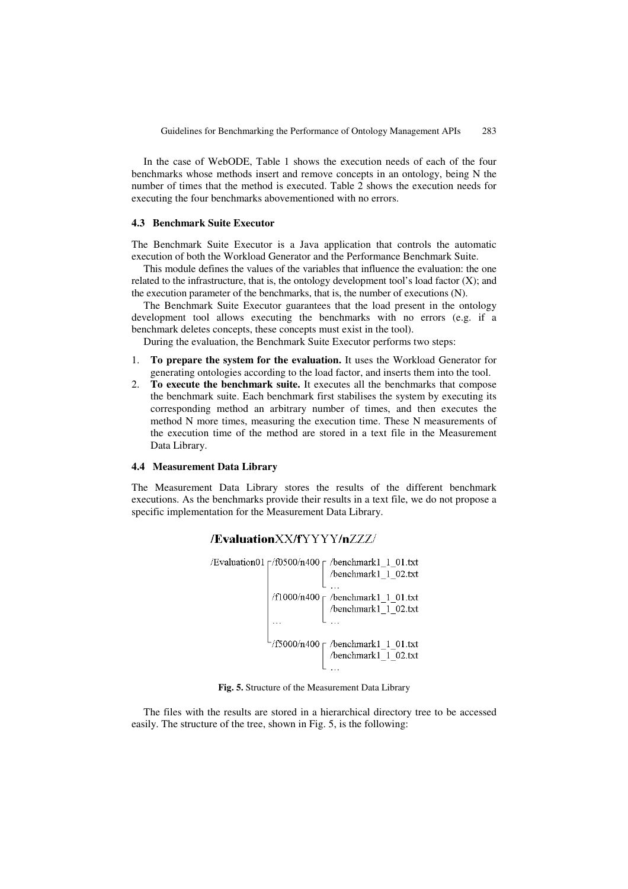In the case of WebODE, Table 1 shows the execution needs of each of the four benchmarks whose methods insert and remove concepts in an ontology, being N the number of times that the method is executed. Table 2 shows the execution needs for executing the four benchmarks abovementioned with no errors.

### **4.3 Benchmark Suite Executor**

The Benchmark Suite Executor is a Java application that controls the automatic execution of both the Workload Generator and the Performance Benchmark Suite.

This module defines the values of the variables that influence the evaluation: the one related to the infrastructure, that is, the ontology development tool's load factor  $(X)$ ; and the execution parameter of the benchmarks, that is, the number of executions (N).

The Benchmark Suite Executor guarantees that the load present in the ontology development tool allows executing the benchmarks with no errors (e.g. if a benchmark deletes concepts, these concepts must exist in the tool).

During the evaluation, the Benchmark Suite Executor performs two steps:

- 1. **To prepare the system for the evaluation.** It uses the Workload Generator for generating ontologies according to the load factor, and inserts them into the tool.
- 2. **To execute the benchmark suite.** It executes all the benchmarks that compose the benchmark suite. Each benchmark first stabilises the system by executing its corresponding method an arbitrary number of times, and then executes the method N more times, measuring the execution time. These N measurements of the execution time of the method are stored in a text file in the Measurement Data Library.

# **4.4 Measurement Data Library**

The Measurement Data Library stores the results of the different benchmark executions. As the benchmarks provide their results in a text file, we do not propose a specific implementation for the Measurement Data Library.

# /EvaluationXX/fYYYY/nZZZ/

|  | Evaluation01 $\int_0^{\pi}$ /f0500/n400 $\int_0^{\pi}$ /benchmark1_1_01.txt |
|--|-----------------------------------------------------------------------------|
|  |                                                                             |
|  |                                                                             |
|  | $/f1000/n400$ $\int$ /benchmark1_1_01.txt<br>/benchmark1_1_02.txt           |
|  |                                                                             |
|  | $\frac{L}{15000/n400}$ /benchmark1_1_01.txt<br>henchmark1_1_02.txt          |
|  |                                                                             |

**Fig. 5.** Structure of the Measurement Data Library

The files with the results are stored in a hierarchical directory tree to be accessed easily. The structure of the tree, shown in Fig. 5, is the following: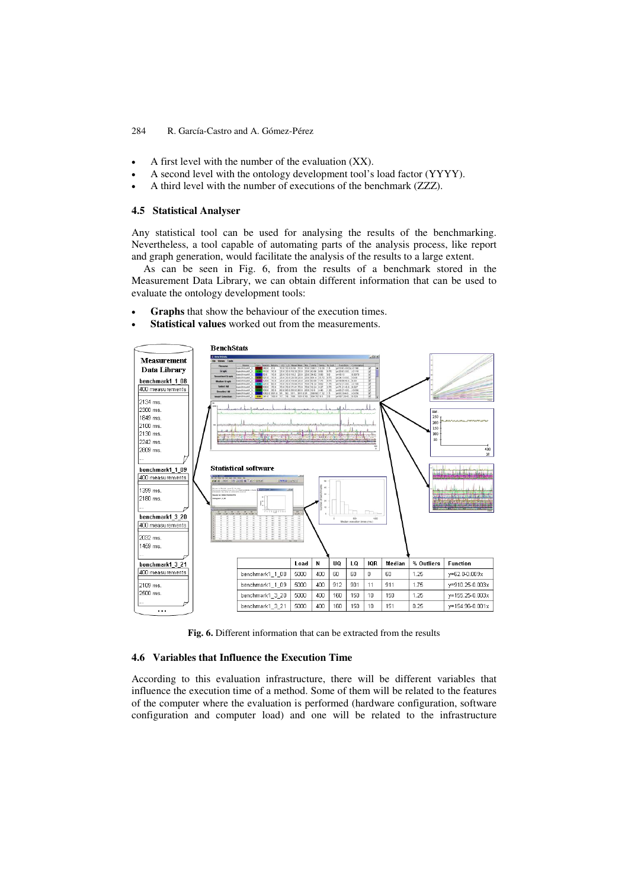- A first level with the number of the evaluation  $(XX)$ .
- A second level with the ontology development tool's load factor (YYYY).
- A third level with the number of executions of the benchmark (ZZZ).

### **4.5 Statistical Analyser**

Any statistical tool can be used for analysing the results of the benchmarking. Nevertheless, a tool capable of automating parts of the analysis process, like report and graph generation, would facilitate the analysis of the results to a large extent.

As can be seen in Fig. 6, from the results of a benchmark stored in the Measurement Data Library, we can obtain different information that can be used to evaluate the ontology development tools:

- **Graphs** that show the behaviour of the execution times.
- **Statistical values** worked out from the measurements.



**Fig. 6.** Different information that can be extracted from the results

### **4.6 Variables that Influence the Execution Time**

According to this evaluation infrastructure, there will be different variables that influence the execution time of a method. Some of them will be related to the features of the computer where the evaluation is performed (hardware configuration, software configuration and computer load) and one will be related to the infrastructure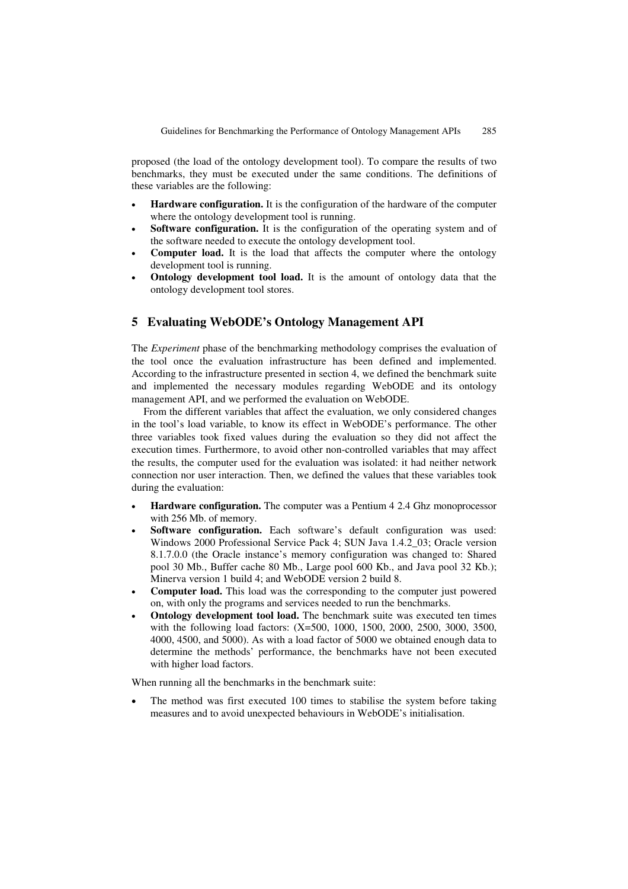proposed (the load of the ontology development tool). To compare the results of two benchmarks, they must be executed under the same conditions. The definitions of these variables are the following:

- **Hardware configuration.** It is the configuration of the hardware of the computer where the ontology development tool is running.
- **Software configuration.** It is the configuration of the operating system and of the software needed to execute the ontology development tool.
- **Computer load.** It is the load that affects the computer where the ontology development tool is running.
- **Ontology development tool load.** It is the amount of ontology data that the ontology development tool stores.

# **5 Evaluating WebODE's Ontology Management API**

The *Experiment* phase of the benchmarking methodology comprises the evaluation of the tool once the evaluation infrastructure has been defined and implemented. According to the infrastructure presented in section 4, we defined the benchmark suite and implemented the necessary modules regarding WebODE and its ontology management API, and we performed the evaluation on WebODE.

From the different variables that affect the evaluation, we only considered changes in the tool's load variable, to know its effect in WebODE's performance. The other three variables took fixed values during the evaluation so they did not affect the execution times. Furthermore, to avoid other non-controlled variables that may affect the results, the computer used for the evaluation was isolated: it had neither network connection nor user interaction. Then, we defined the values that these variables took during the evaluation:

- **Hardware configuration.** The computer was a Pentium 4 2.4 Ghz monoprocessor with 256 Mb. of memory.
- **Software configuration.** Each software's default configuration was used: Windows 2000 Professional Service Pack 4; SUN Java 1.4.2\_03; Oracle version 8.1.7.0.0 (the Oracle instance's memory configuration was changed to: Shared pool 30 Mb., Buffer cache 80 Mb., Large pool 600 Kb., and Java pool 32 Kb.); Minerva version 1 build 4; and WebODE version 2 build 8.
- **Computer load.** This load was the corresponding to the computer just powered on, with only the programs and services needed to run the benchmarks.
- **Ontology development tool load.** The benchmark suite was executed ten times with the following load factors: (X=500, 1000, 1500, 2000, 2500, 3000, 3500, 4000, 4500, and 5000). As with a load factor of 5000 we obtained enough data to determine the methods' performance, the benchmarks have not been executed with higher load factors.

When running all the benchmarks in the benchmark suite:

The method was first executed 100 times to stabilise the system before taking measures and to avoid unexpected behaviours in WebODE's initialisation.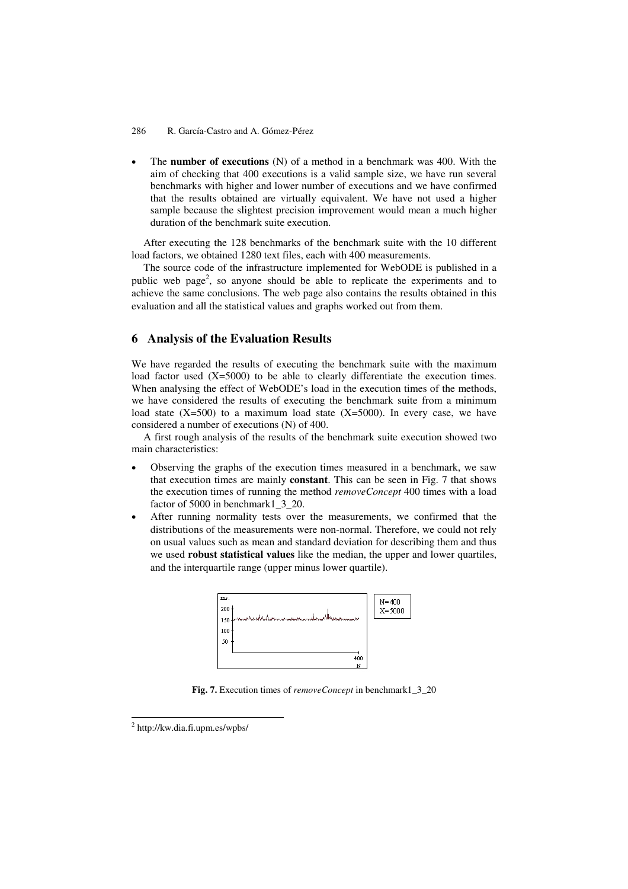• The **number of executions** (N) of a method in a benchmark was 400. With the aim of checking that 400 executions is a valid sample size, we have run several benchmarks with higher and lower number of executions and we have confirmed that the results obtained are virtually equivalent. We have not used a higher sample because the slightest precision improvement would mean a much higher duration of the benchmark suite execution.

After executing the 128 benchmarks of the benchmark suite with the 10 different load factors, we obtained 1280 text files, each with 400 measurements.

The source code of the infrastructure implemented for WebODE is published in a public web page<sup>2</sup>, so anyone should be able to replicate the experiments and to achieve the same conclusions. The web page also contains the results obtained in this evaluation and all the statistical values and graphs worked out from them.

# **6 Analysis of the Evaluation Results**

We have regarded the results of executing the benchmark suite with the maximum load factor used (X=5000) to be able to clearly differentiate the execution times. When analysing the effect of WebODE's load in the execution times of the methods, we have considered the results of executing the benchmark suite from a minimum load state  $(X=500)$  to a maximum load state  $(X=5000)$ . In every case, we have considered a number of executions (N) of 400.

A first rough analysis of the results of the benchmark suite execution showed two main characteristics:

- Observing the graphs of the execution times measured in a benchmark, we saw that execution times are mainly **constant**. This can be seen in Fig. 7 that shows the execution times of running the method *removeConcept* 400 times with a load factor of 5000 in benchmark1 3 20.
- After running normality tests over the measurements, we confirmed that the distributions of the measurements were non-normal. Therefore, we could not rely on usual values such as mean and standard deviation for describing them and thus we used **robust statistical values** like the median, the upper and lower quartiles, and the interquartile range (upper minus lower quartile).



**Fig. 7.** Execution times of *removeConcept* in benchmark1\_3\_20

<sup>&</sup>lt;sup>2</sup> http://kw.dia.fi.upm.es/wpbs/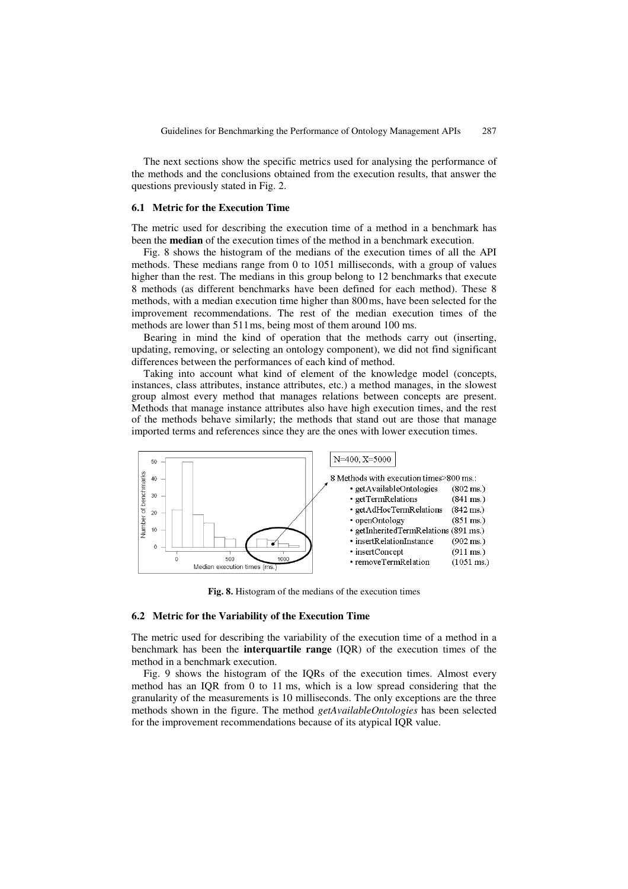The next sections show the specific metrics used for analysing the performance of the methods and the conclusions obtained from the execution results, that answer the questions previously stated in Fig. 2.

### **6.1 Metric for the Execution Time**

The metric used for describing the execution time of a method in a benchmark has been the **median** of the execution times of the method in a benchmark execution.

Fig. 8 shows the histogram of the medians of the execution times of all the API methods. These medians range from 0 to 1051 milliseconds, with a group of values higher than the rest. The medians in this group belong to 12 benchmarks that execute 8 methods (as different benchmarks have been defined for each method). These 8 methods, with a median execution time higher than 800ms, have been selected for the improvement recommendations. The rest of the median execution times of the methods are lower than 511ms, being most of them around 100 ms.

Bearing in mind the kind of operation that the methods carry out (inserting, updating, removing, or selecting an ontology component), we did not find significant differences between the performances of each kind of method.

Taking into account what kind of element of the knowledge model (concepts, instances, class attributes, instance attributes, etc.) a method manages, in the slowest group almost every method that manages relations between concepts are present. Methods that manage instance attributes also have high execution times, and the rest of the methods behave similarly; the methods that stand out are those that manage imported terms and references since they are the ones with lower execution times.



**Fig. 8.** Histogram of the medians of the execution times

### **6.2 Metric for the Variability of the Execution Time**

The metric used for describing the variability of the execution time of a method in a benchmark has been the **interquartile range** (IQR) of the execution times of the method in a benchmark execution.

Fig. 9 shows the histogram of the IQRs of the execution times. Almost every method has an IQR from 0 to 11 ms, which is a low spread considering that the granularity of the measurements is 10 milliseconds. The only exceptions are the three methods shown in the figure. The method *getAvailableOntologies* has been selected for the improvement recommendations because of its atypical IQR value.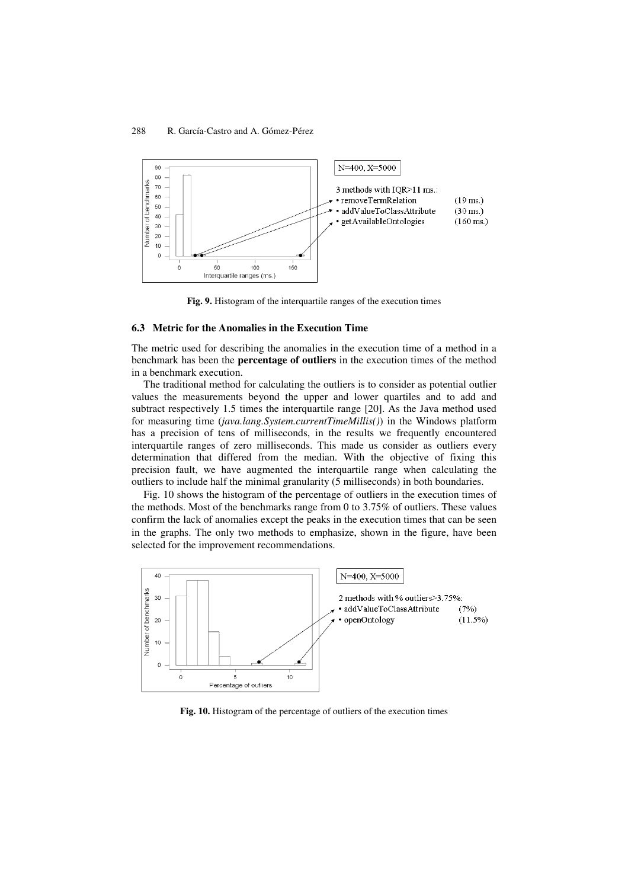

**Fig. 9.** Histogram of the interquartile ranges of the execution times

#### **6.3 Metric for the Anomalies in the Execution Time**

The metric used for describing the anomalies in the execution time of a method in a benchmark has been the **percentage of outliers** in the execution times of the method in a benchmark execution.

The traditional method for calculating the outliers is to consider as potential outlier values the measurements beyond the upper and lower quartiles and to add and subtract respectively 1.5 times the interquartile range [20]. As the Java method used for measuring time (*java.lang.System.currentTimeMillis()*) in the Windows platform has a precision of tens of milliseconds, in the results we frequently encountered interquartile ranges of zero milliseconds. This made us consider as outliers every determination that differed from the median. With the objective of fixing this precision fault, we have augmented the interquartile range when calculating the outliers to include half the minimal granularity (5 milliseconds) in both boundaries.

Fig. 10 shows the histogram of the percentage of outliers in the execution times of the methods. Most of the benchmarks range from 0 to 3.75% of outliers. These values confirm the lack of anomalies except the peaks in the execution times that can be seen in the graphs. The only two methods to emphasize, shown in the figure, have been selected for the improvement recommendations.



**Fig. 10.** Histogram of the percentage of outliers of the execution times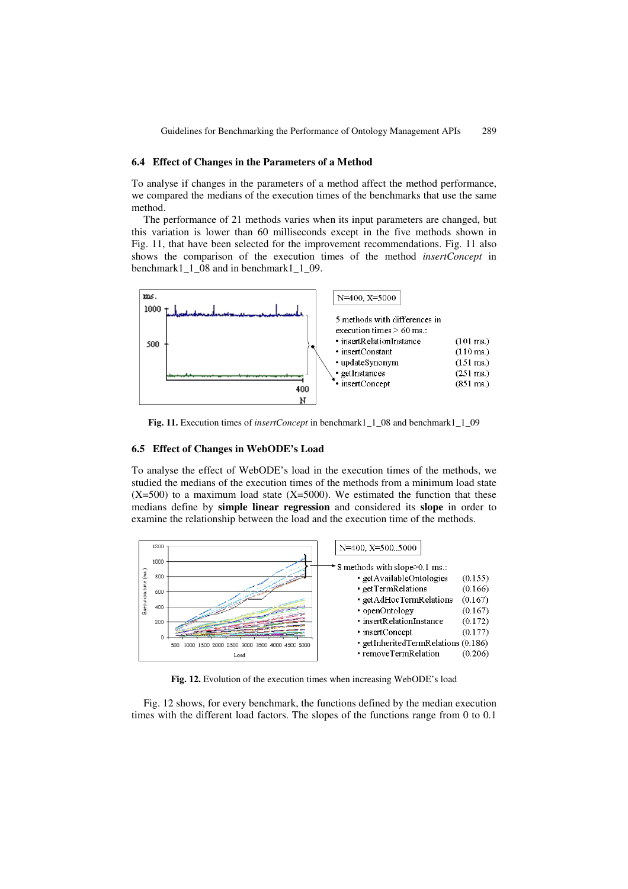#### **6.4 Effect of Changes in the Parameters of a Method**

To analyse if changes in the parameters of a method affect the method performance, we compared the medians of the execution times of the benchmarks that use the same method.

The performance of 21 methods varies when its input parameters are changed, but this variation is lower than 60 milliseconds except in the five methods shown in Fig. 11, that have been selected for the improvement recommendations. Fig. 11 also shows the comparison of the execution times of the method *insertConcept* in benchmark1\_1\_08 and in benchmark1\_1\_09.



**Fig. 11.** Execution times of *insertConcept* in benchmark1\_1\_08 and benchmark1\_1\_09

#### **6.5 Effect of Changes in WebODE's Load**

To analyse the effect of WebODE's load in the execution times of the methods, we studied the medians of the execution times of the methods from a minimum load state  $(X=500)$  to a maximum load state  $(X=5000)$ . We estimated the function that these medians define by **simple linear regression** and considered its **slope** in order to examine the relationship between the load and the execution time of the methods.



**Fig. 12.** Evolution of the execution times when increasing WebODE's load

Fig. 12 shows, for every benchmark, the functions defined by the median execution times with the different load factors. The slopes of the functions range from 0 to 0.1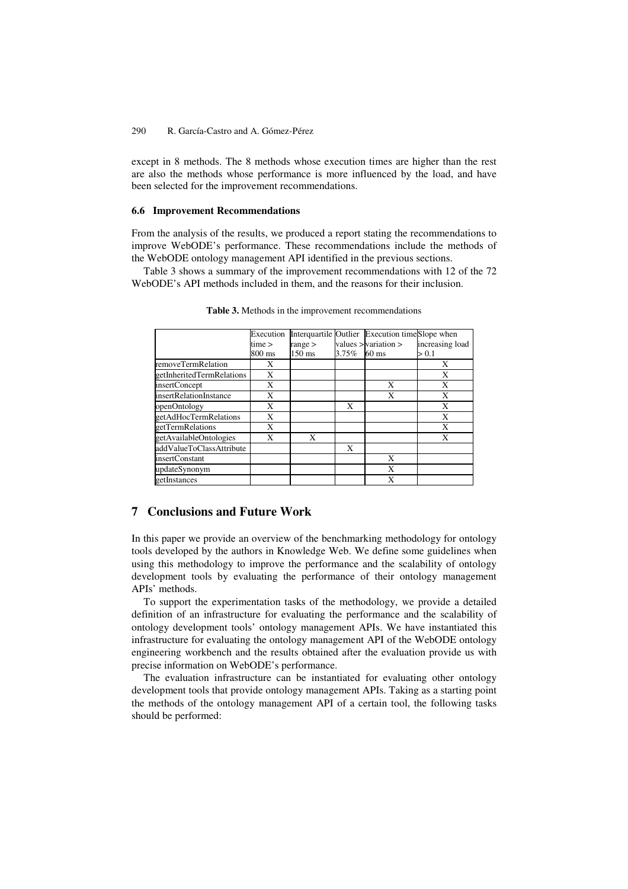except in 8 methods. The 8 methods whose execution times are higher than the rest are also the methods whose performance is more influenced by the load, and have been selected for the improvement recommendations.

#### **6.6 Improvement Recommendations**

From the analysis of the results, we produced a report stating the recommendations to improve WebODE's performance. These recommendations include the methods of the WebODE ontology management API identified in the previous sections.

Table 3 shows a summary of the improvement recommendations with 12 of the 72 WebODE's API methods included in them, and the reasons for their inclusion.

|                           | Execution |                  |       | Interquartile Outlier Execution timeSlope when |                 |
|---------------------------|-----------|------------------|-------|------------------------------------------------|-----------------|
|                           | time >    | range            |       | values $>$ variation $>$                       | increasing load |
|                           | 800 ms    | $150 \text{ ms}$ | 3.75% | $60 \text{ ms}$                                | > 0.1           |
| removeTermRelation        | X         |                  |       |                                                | X               |
| getInheritedTermRelations | X         |                  |       |                                                | X               |
| insertConcept             | X         |                  |       | X                                              | X               |
| insertRelationInstance    | X         |                  |       | X                                              | X               |
| openOntology              | X         |                  | X     |                                                | X               |
| getAdHocTermRelations     | X         |                  |       |                                                | X               |
| getTermRelations          | X         |                  |       |                                                | X               |
| getAvailableOntologies    | X         | X                |       |                                                | X               |
| addValueToClassAttribute  |           |                  | X     |                                                |                 |
| insertConstant            |           |                  |       | X                                              |                 |
| updateSynonym             |           |                  |       | X                                              |                 |
| getInstances              |           |                  |       | X                                              |                 |

**Table 3.** Methods in the improvement recommendations

# **7 Conclusions and Future Work**

In this paper we provide an overview of the benchmarking methodology for ontology tools developed by the authors in Knowledge Web. We define some guidelines when using this methodology to improve the performance and the scalability of ontology development tools by evaluating the performance of their ontology management APIs' methods.

To support the experimentation tasks of the methodology, we provide a detailed definition of an infrastructure for evaluating the performance and the scalability of ontology development tools' ontology management APIs. We have instantiated this infrastructure for evaluating the ontology management API of the WebODE ontology engineering workbench and the results obtained after the evaluation provide us with precise information on WebODE's performance.

The evaluation infrastructure can be instantiated for evaluating other ontology development tools that provide ontology management APIs. Taking as a starting point the methods of the ontology management API of a certain tool, the following tasks should be performed: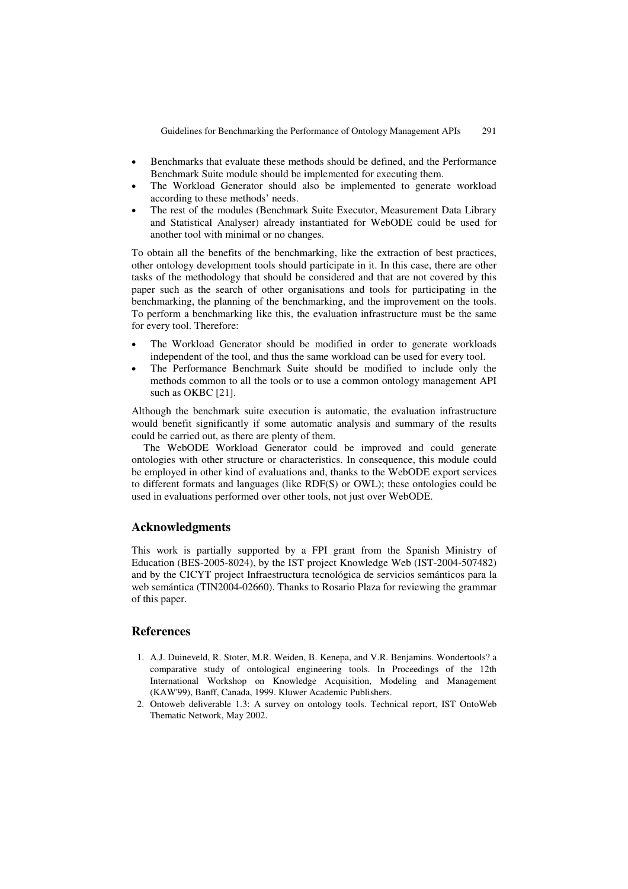- Benchmarks that evaluate these methods should be defined, and the Performance Benchmark Suite module should be implemented for executing them.
- The Workload Generator should also be implemented to generate workload according to these methods' needs.
- The rest of the modules (Benchmark Suite Executor, Measurement Data Library and Statistical Analyser) already instantiated for WebODE could be used for another tool with minimal or no changes.

To obtain all the benefits of the benchmarking, like the extraction of best practices, other ontology development tools should participate in it. In this case, there are other tasks of the methodology that should be considered and that are not covered by this paper such as the search of other organisations and tools for participating in the benchmarking, the planning of the benchmarking, and the improvement on the tools. To perform a benchmarking like this, the evaluation infrastructure must be the same for every tool. Therefore:

- The Workload Generator should be modified in order to generate workloads independent of the tool, and thus the same workload can be used for every tool.
- The Performance Benchmark Suite should be modified to include only the methods common to all the tools or to use a common ontology management API such as OKBC [21].

Although the benchmark suite execution is automatic, the evaluation infrastructure would benefit significantly if some automatic analysis and summary of the results could be carried out, as there are plenty of them.

The WebODE Workload Generator could be improved and could generate ontologies with other structure or characteristics. In consequence, this module could be employed in other kind of evaluations and, thanks to the WebODE export services to different formats and languages (like RDF(S) or OWL); these ontologies could be used in evaluations performed over other tools, not just over WebODE.

# **Acknowledgments**

This work is partially supported by a FPI grant from the Spanish Ministry of Education (BES-2005-8024), by the IST project Knowledge Web (IST-2004-507482) and by the CICYT project Infraestructura tecnológica de servicios semánticos para la web semántica (TIN2004-02660). Thanks to Rosario Plaza for reviewing the grammar of this paper.

# **References**

- 1. A.J. Duineveld, R. Stoter, M.R. Weiden, B. Kenepa, and V.R. Benjamins. Wondertools? a comparative study of ontological engineering tools. In Proceedings of the 12th International Workshop on Knowledge Acquisition, Modeling and Management (KAW'99), Banff, Canada, 1999. Kluwer Academic Publishers.
- 2. Ontoweb deliverable 1.3: A survey on ontology tools. Technical report, IST OntoWeb Thematic Network, May 2002.